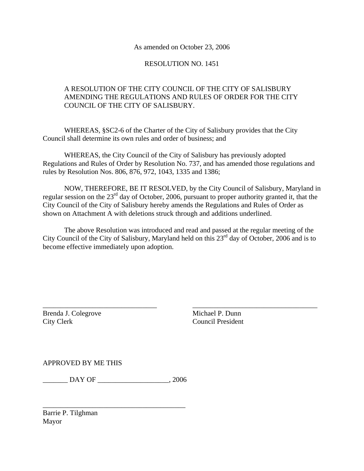#### As amended on October 23, 2006

### RESOLUTION NO. 1451

# A RESOLUTION OF THE CITY COUNCIL OF THE CITY OF SALISBURY AMENDING THE REGULATIONS AND RULES OF ORDER FOR THE CITY COUNCIL OF THE CITY OF SALISBURY.

 WHEREAS, §SC2-6 of the Charter of the City of Salisbury provides that the City Council shall determine its own rules and order of business; and

 WHEREAS, the City Council of the City of Salisbury has previously adopted Regulations and Rules of Order by Resolution No. 737, and has amended those regulations and rules by Resolution Nos. 806, 876, 972, 1043, 1335 and 1386;

 NOW, THEREFORE, BE IT RESOLVED, by the City Council of Salisbury, Maryland in regular session on the 23<sup>rd</sup> day of October, 2006, pursuant to proper authority granted it, that the City Council of the City of Salisbury hereby amends the Regulations and Rules of Order as shown on Attachment A with deletions struck through and additions underlined.

 The above Resolution was introduced and read and passed at the regular meeting of the City Council of the City of Salisbury, Maryland held on this 23<sup>rd</sup> day of October, 2006 and is to become effective immediately upon adoption.

\_\_\_\_\_\_\_\_\_\_\_\_\_\_\_\_\_\_\_\_\_\_\_\_\_\_\_\_\_\_\_\_ \_\_\_\_\_\_\_\_\_\_\_\_\_\_\_\_\_\_\_\_\_\_\_\_\_\_\_\_\_\_\_\_\_\_\_

Brenda J. Colegrove Michael P. Dunn City Clerk Council President

APPROVED BY ME THIS

\_\_\_\_\_\_\_ DAY OF \_\_\_\_\_\_\_\_\_\_\_\_\_\_\_\_\_\_\_\_, 2006

\_\_\_\_\_\_\_\_\_\_\_\_\_\_\_\_\_\_\_\_\_\_\_\_\_\_\_\_\_\_\_\_\_\_\_\_\_\_\_\_

Barrie P. Tilghman Mayor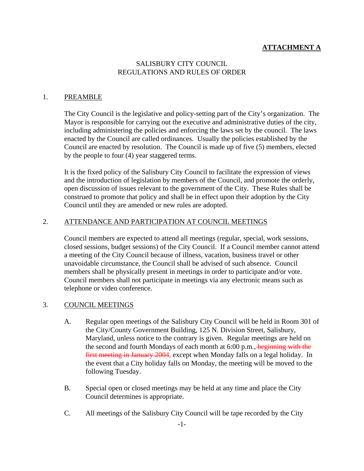# **ATTACHMENT A**

### SALISBURY CITY COUNCIL REGULATIONS AND RULES OF ORDER

#### 1. PREAMBLE

The City Council is the legislative and policy-setting part of the City's organization. The Mayor is responsible for carrying out the executive and administrative duties of the city, including administering the policies and enforcing the laws set by the council. The laws enacted by the Council are called ordinances. Usually the policies established by the Council are enacted by resolution. The Council is made up of five (5) members, elected by the people to four (4) year staggered terms.

It is the fixed policy of the Salisbury City Council to facilitate the expression of views and the introduction of legislation by members of the Council, and promote the orderly, open discussion of issues relevant to the government of the City. These Rules shall be construed to promote that policy and shall be in effect upon their adoption by the City Council until they are amended or new rules are adopted.

#### 2. ATTENDANCE AND PARTICIPATION AT COUNCIL MEETINGS

Council members are expected to attend all meetings (regular, special, work sessions, closed sessions, budget sessions) of the City Council. If a Council member cannot attend a meeting of the City Council because of illness, vacation, business travel or other unavoidable circumstance, the Council shall be advised of such absence. Council members shall be physically present in meetings in order to participate and/or vote. Council members shall not participate in meetings via any electronic means such as telephone or video conference.

#### 3. COUNCIL MEETINGS

- A. Regular open meetings of the Salisbury City Council will be held in Room 301 of the City/County Government Building, 125 N. Division Street, Salisbury, Maryland, unless notice to the contrary is given. Regular meetings are held on the second and fourth Mondays of each month at 6:00 p.m., beginning with the first meeting in January 2004, except when Monday falls on a legal holiday. In the event that a City holiday falls on Monday, the meeting will be moved to the following Tuesday.
- B. Special open or closed meetings may be held at any time and place the City Council determines is appropriate.
- C. All meetings of the Salisbury City Council will be tape recorded by the City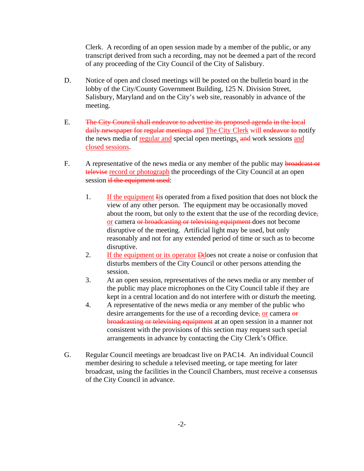Clerk. A recording of an open session made by a member of the public, or any transcript derived from such a recording, may not be deemed a part of the record of any proceeding of the City Council of the City of Salisbury.

- D. Notice of open and closed meetings will be posted on the bulletin board in the lobby of the City/County Government Building, 125 N. Division Street, Salisbury, Maryland and on the City's web site, reasonably in advance of the meeting.
- E. The City Council shall endeavor to advertise its proposed agenda in the local daily newspaper for regular meetings and The City Clerk will endeavor to notify the news media of regular and special open meetings, and work sessions and closed sessions.
- F. A representative of the news media or any member of the public may broadcast or televise record or photograph the proceedings of the City Council at an open session if the equipment used:
	- 1. If the equipment Iis operated from a fixed position that does not block the view of any other person. The equipment may be occasionally moved about the room, but only to the extent that the use of the recording device, or camera or broadcasting or televising equipment does not become disruptive of the meeting. Artificial light may be used, but only reasonably and not for any extended period of time or such as to become disruptive.
	- 2. If the equipment or its operator **D**does not create a noise or confusion that disturbs members of the City Council or other persons attending the session.
	- 3. At an open session, representatives of the news media or any member of the public may place microphones on the City Council table if they are kept in a central location and do not interfere with or disturb the meeting.
	- 4. A representative of the news media or any member of the public who desire arrangements for the use of a recording device, or camera  $\theta$ broadcasting or televising equipment at an open session in a manner not consistent with the provisions of this section may request such special arrangements in advance by contacting the City Clerk's Office.
- G. Regular Council meetings are broadcast live on PAC14. An individual Council member desiring to schedule a televised meeting, or tape meeting for later broadcast, using the facilities in the Council Chambers, must receive a consensus of the City Council in advance.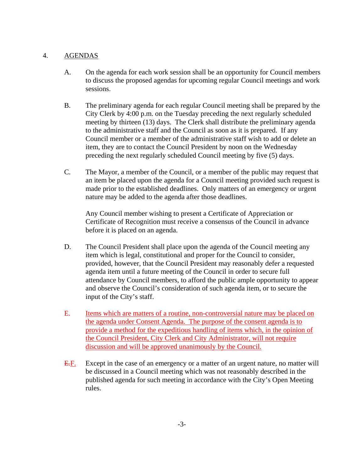## 4. AGENDAS

- A. On the agenda for each work session shall be an opportunity for Council members to discuss the proposed agendas for upcoming regular Council meetings and work sessions.
- B. The preliminary agenda for each regular Council meeting shall be prepared by the City Clerk by 4:00 p.m. on the Tuesday preceding the next regularly scheduled meeting by thirteen (13) days. The Clerk shall distribute the preliminary agenda to the administrative staff and the Council as soon as it is prepared. If any Council member or a member of the administrative staff wish to add or delete an item, they are to contact the Council President by noon on the Wednesday preceding the next regularly scheduled Council meeting by five (5) days.
- C. The Mayor, a member of the Council, or a member of the public may request that an item be placed upon the agenda for a Council meeting provided such request is made prior to the established deadlines. Only matters of an emergency or urgent nature may be added to the agenda after those deadlines.

 Any Council member wishing to present a Certificate of Appreciation or Certificate of Recognition must receive a consensus of the Council in advance before it is placed on an agenda.

- D. The Council President shall place upon the agenda of the Council meeting any item which is legal, constitutional and proper for the Council to consider, provided, however, that the Council President may reasonably defer a requested agenda item until a future meeting of the Council in order to secure full attendance by Council members, to afford the public ample opportunity to appear and observe the Council's consideration of such agenda item, or to secure the input of the City's staff.
- E. Items which are matters of a routine, non-controversial nature may be placed on the agenda under Consent Agenda. The purpose of the consent agenda is to provide a method for the expeditious handling of items which, in the opinion of the Council President, City Clerk and City Administrator, will not require discussion and will be approved unanimously by the Council.
- E.F. Except in the case of an emergency or a matter of an urgent nature, no matter will be discussed in a Council meeting which was not reasonably described in the published agenda for such meeting in accordance with the City's Open Meeting rules.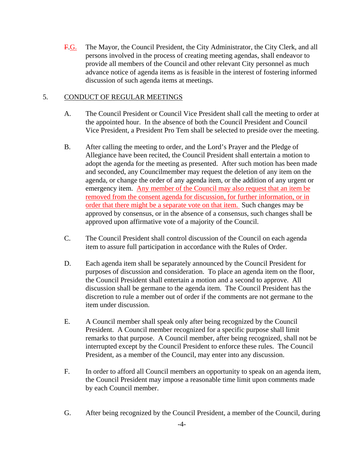F.G. The Mayor, the Council President, the City Administrator, the City Clerk, and all persons involved in the process of creating meeting agendas, shall endeavor to provide all members of the Council and other relevant City personnel as much advance notice of agenda items as is feasible in the interest of fostering informed discussion of such agenda items at meetings.

### 5. CONDUCT OF REGULAR MEETINGS

- A. The Council President or Council Vice President shall call the meeting to order at the appointed hour. In the absence of both the Council President and Council Vice President, a President Pro Tem shall be selected to preside over the meeting.
- B. After calling the meeting to order, and the Lord's Prayer and the Pledge of Allegiance have been recited, the Council President shall entertain a motion to adopt the agenda for the meeting as presented. After such motion has been made and seconded, any Councilmember may request the deletion of any item on the agenda, or change the order of any agenda item, or the addition of any urgent or emergency item. Any member of the Council may also request that an item be removed from the consent agenda for discussion, for further information, or in order that there might be a separate vote on that item. Such changes may be approved by consensus, or in the absence of a consensus, such changes shall be approved upon affirmative vote of a majority of the Council.
- C. The Council President shall control discussion of the Council on each agenda item to assure full participation in accordance with the Rules of Order.
- D. Each agenda item shall be separately announced by the Council President for purposes of discussion and consideration. To place an agenda item on the floor, the Council President shall entertain a motion and a second to approve. All discussion shall be germane to the agenda item. The Council President has the discretion to rule a member out of order if the comments are not germane to the item under discussion.
- E. A Council member shall speak only after being recognized by the Council President. A Council member recognized for a specific purpose shall limit remarks to that purpose. A Council member, after being recognized, shall not be interrupted except by the Council President to enforce these rules. The Council President, as a member of the Council, may enter into any discussion.
- F. In order to afford all Council members an opportunity to speak on an agenda item, the Council President may impose a reasonable time limit upon comments made by each Council member.
- G. After being recognized by the Council President, a member of the Council, during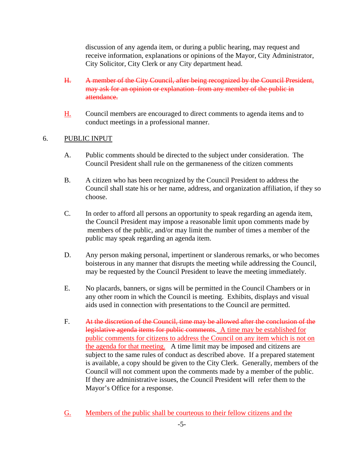discussion of any agenda item, or during a public hearing, may request and receive information, explanations or opinions of the Mayor, City Administrator, City Solicitor, City Clerk or any City department head.

- H. A member of the City Council, after being recognized by the Council President, may ask for an opinion or explanation from any member of the public in attendance.
- H. Council members are encouraged to direct comments to agenda items and to conduct meetings in a professional manner.

### 6. PUBLIC INPUT

- A. Public comments should be directed to the subject under consideration. The Council President shall rule on the germaneness of the citizen comments
- B. A citizen who has been recognized by the Council President to address the Council shall state his or her name, address, and organization affiliation, if they so choose.
- C. In order to afford all persons an opportunity to speak regarding an agenda item, the Council President may impose a reasonable limit upon comments made by members of the public, and/or may limit the number of times a member of the public may speak regarding an agenda item.
- D. Any person making personal, impertinent or slanderous remarks, or who becomes boisterous in any manner that disrupts the meeting while addressing the Council, may be requested by the Council President to leave the meeting immediately.
- E. No placards, banners, or signs will be permitted in the Council Chambers or in any other room in which the Council is meeting. Exhibits, displays and visual aids used in connection with presentations to the Council are permitted.
- F. At the discretion of the Council, time may be allowed after the conclusion of the legislative agenda items for public comments. A time may be established for public comments for citizens to address the Council on any item which is not on the agenda for that meeting. A time limit may be imposed and citizens are subject to the same rules of conduct as described above. If a prepared statement is available, a copy should be given to the City Clerk. Generally, members of the Council will not comment upon the comments made by a member of the public. If they are administrative issues, the Council President will refer them to the Mayor's Office for a response.
- G. Members of the public shall be courteous to their fellow citizens and the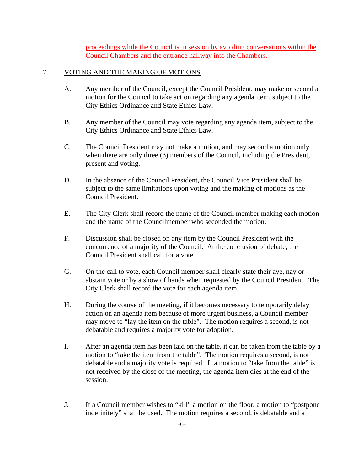proceedings while the Council is in session by avoiding conversations within the Council Chambers and the entrance hallway into the Chambers.

## 7. VOTING AND THE MAKING OF MOTIONS

- A. Any member of the Council, except the Council President, may make or second a motion for the Council to take action regarding any agenda item, subject to the City Ethics Ordinance and State Ethics Law.
- B. Any member of the Council may vote regarding any agenda item, subject to the City Ethics Ordinance and State Ethics Law.
- C. The Council President may not make a motion, and may second a motion only when there are only three (3) members of the Council, including the President, present and voting.
- D. In the absence of the Council President, the Council Vice President shall be subject to the same limitations upon voting and the making of motions as the Council President.
- E. The City Clerk shall record the name of the Council member making each motion and the name of the Councilmember who seconded the motion.
- F. Discussion shall be closed on any item by the Council President with the concurrence of a majority of the Council. At the conclusion of debate, the Council President shall call for a vote.
- G. On the call to vote, each Council member shall clearly state their aye, nay or abstain vote or by a show of hands when requested by the Council President. The City Clerk shall record the vote for each agenda item.
- H. During the course of the meeting, if it becomes necessary to temporarily delay action on an agenda item because of more urgent business, a Council member may move to "lay the item on the table". The motion requires a second, is not debatable and requires a majority vote for adoption.
- I. After an agenda item has been laid on the table, it can be taken from the table by a motion to "take the item from the table". The motion requires a second, is not debatable and a majority vote is required. If a motion to "take from the table" is not received by the close of the meeting, the agenda item dies at the end of the session.
- J. If a Council member wishes to "kill" a motion on the floor, a motion to "postpone indefinitely" shall be used. The motion requires a second, is debatable and a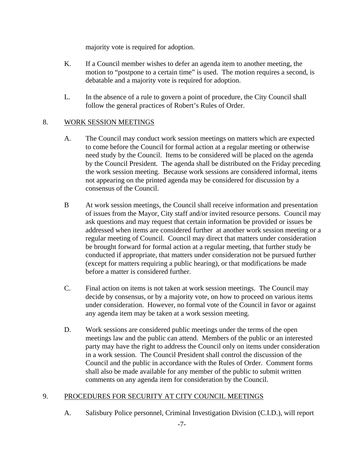majority vote is required for adoption.

- K. If a Council member wishes to defer an agenda item to another meeting, the motion to "postpone to a certain time" is used. The motion requires a second, is debatable and a majority vote is required for adoption.
- L. In the absence of a rule to govern a point of procedure, the City Council shall follow the general practices of Robert's Rules of Order.

# 8. WORK SESSION MEETINGS

- A. The Council may conduct work session meetings on matters which are expected to come before the Council for formal action at a regular meeting or otherwise need study by the Council. Items to be considered will be placed on the agenda by the Council President. The agenda shall be distributed on the Friday preceding the work session meeting. Because work sessions are considered informal, items not appearing on the printed agenda may be considered for discussion by a consensus of the Council.
- B At work session meetings, the Council shall receive information and presentation of issues from the Mayor, City staff and/or invited resource persons. Council may ask questions and may request that certain information be provided or issues be addressed when items are considered further at another work session meeting or a regular meeting of Council. Council may direct that matters under consideration be brought forward for formal action at a regular meeting, that further study be conducted if appropriate, that matters under consideration not be pursued further (except for matters requiring a public hearing), or that modifications be made before a matter is considered further.
- C. Final action on items is not taken at work session meetings. The Council may decide by consensus, or by a majority vote, on how to proceed on various items under consideration. However, no formal vote of the Council in favor or against any agenda item may be taken at a work session meeting.
- D. Work sessions are considered public meetings under the terms of the open meetings law and the public can attend. Members of the public or an interested party may have the right to address the Council only on items under consideration in a work session. The Council President shall control the discussion of the Council and the public in accordance with the Rules of Order. Comment forms shall also be made available for any member of the public to submit written comments on any agenda item for consideration by the Council.

# 9. PROCEDURES FOR SECURITY AT CITY COUNCIL MEETINGS

A. Salisbury Police personnel, Criminal Investigation Division (C.I.D.), will report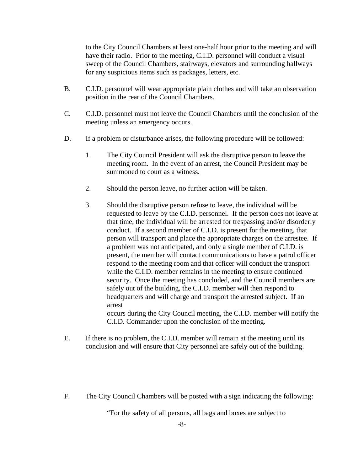to the City Council Chambers at least one-half hour prior to the meeting and will have their radio. Prior to the meeting, C.I.D. personnel will conduct a visual sweep of the Council Chambers, stairways, elevators and surrounding hallways for any suspicious items such as packages, letters, etc.

- B. C.I.D. personnel will wear appropriate plain clothes and will take an observation position in the rear of the Council Chambers.
- C. C.I.D. personnel must not leave the Council Chambers until the conclusion of the meeting unless an emergency occurs.
- D. If a problem or disturbance arises, the following procedure will be followed:
	- 1. The City Council President will ask the disruptive person to leave the meeting room. In the event of an arrest, the Council President may be summoned to court as a witness.
	- 2. Should the person leave, no further action will be taken.
	- 3. Should the disruptive person refuse to leave, the individual will be requested to leave by the C.I.D. personnel. If the person does not leave at that time, the individual will be arrested for trespassing and/or disorderly conduct. If a second member of C.I.D. is present for the meeting, that person will transport and place the appropriate charges on the arrestee. If a problem was not anticipated, and only a single member of C.I.D. is present, the member will contact communications to have a patrol officer respond to the meeting room and that officer will conduct the transport while the C.I.D. member remains in the meeting to ensure continued security. Once the meeting has concluded, and the Council members are safely out of the building, the C.I.D. member will then respond to headquarters and will charge and transport the arrested subject. If an arrest occurs during the City Council meeting, the C.I.D. member will notify the

C.I.D. Commander upon the conclusion of the meeting.

- E. If there is no problem, the C.I.D. member will remain at the meeting until its conclusion and will ensure that City personnel are safely out of the building.
- F. The City Council Chambers will be posted with a sign indicating the following:

"For the safety of all persons, all bags and boxes are subject to